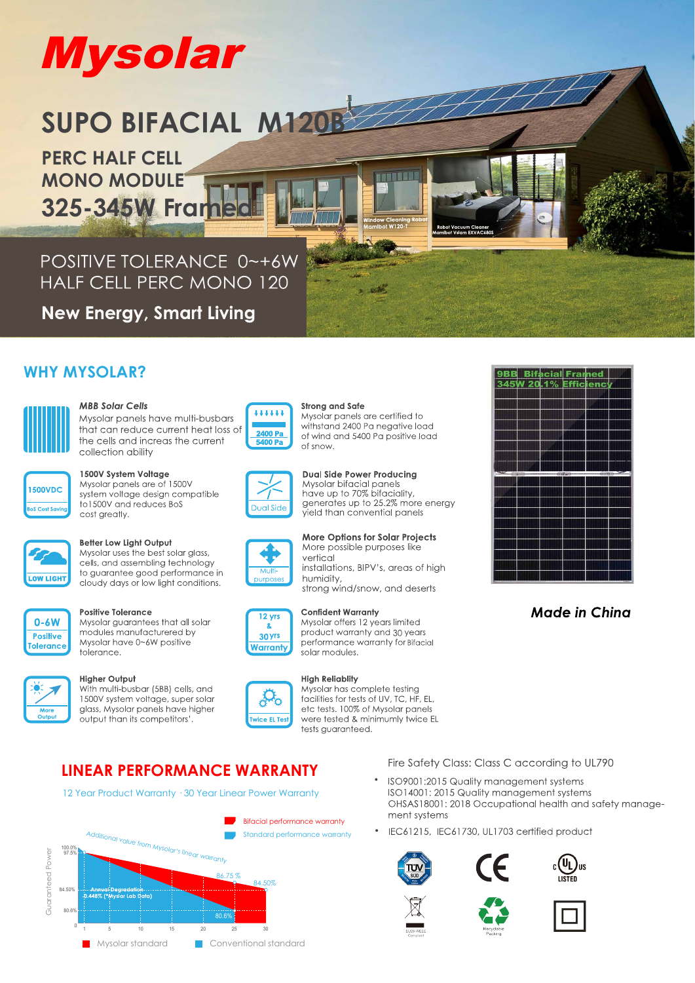# **Mysolar**

## **SUPO BIFACIAL M120B**

**PERC HALF CELL MONO MODULE** 325-345W Fran

POSITIVE TOLERANCE 0~+6W **HALF CELL PERC MONO 120** 

**New Energy, Smart Living** 

#### **WHY MYSOLAR?**



#### **MBB Solar Cells**

Mysolar panels have multi-busbars that can reduce current heat loss of the cells and increas the current collection ability

| <b>1500VDC</b>         |  |
|------------------------|--|
|                        |  |
| <b>BoS Cost Saving</b> |  |

#### 1500V System Voltage

Mysolar panels are of 1500V system voltage design compatible to 1500V and reduces BoS cost greatly.



#### Better Low Light Output

Mysolar uses the best solar glass, cells, and assembling technology to guarantee good performance in cloudy days or low light conditions.



#### **Positive Tolerance**

Mysolar quarantees that all solar modules manufacturered by Mysolar have 0~6W positive tolerance.

#### **Higher Output**

With multi-busbar (5BB) cells, and 1500V system voltage, super solar glass, Mysolar panels have higher output than its competitors'



#### **Strong and Safe** Mysolar panels are certified to withstand 2400 Pa negative load of wind and 5400 Pa positive load of snow

i a n'i Bise



**Dual Side Power Producing** Mysolar bifacial panels have up to 70% bifaciality,<br>generates up to 25.2% more energy yield than convential panels





#### **Confident Warranty**



#### Mysolar offers 12 years limited product warranty and 30 years



#### Fire Safety Class: Class C according to UL790

- ISO9001:2015 Quality management systems ISO14001: 2015 Quality management systems OHSAS18001: 2018 Occupational health and safety management systems
- IEC61215, IEC61730, UL1703 certified product















**High Reliablity** Mysolar has complete testing facilities for tests of UV. TC. HF. EL. etc tests. 100% of Mysolar panels were tested & minimumly twice EL tests quaranteed.

#### **LINEAR PERFORMANCE WARRANTY**

12 Year Product Warranty · 30 Year Linear Power Warranty





**Made in China** 

**More Options for Solar Projects** 

installations, BIPV's, areas of high

strong wind/snow, and deserts

performance warranty for Bifacial

More possible purposes like

vertical

humidity,

solar modules.